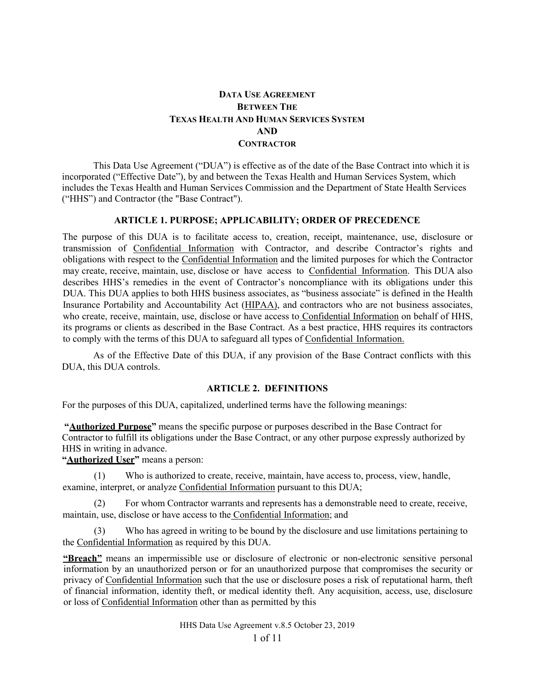# **DATA USE AGREEMENT BETWEEN THE TEXAS HEALTH AND HUMAN SERVICES SYSTEM AND CONTRACTOR**

This Data Use Agreement ("DUA") is effective as of the date of the Base Contract into which it is incorporated ("Effective Date"), by and between the Texas Health and Human Services System, which includes the Texas Health and Human Services Commission and the Department of State Health Services ("HHS") and Contractor (the "Base Contract").

#### **ARTICLE 1. PURPOSE; APPLICABILITY; ORDER OF PRECEDENCE**

The purpose of this DUA is to facilitate access to, creation, receipt, maintenance, use, disclosure or transmission of Confidential Information with Contractor, and describe Contractor's rights and obligations with respect to the Confidential Information and the limited purposes for which the Contractor may create, receive, maintain, use, disclose or have access to Confidential Information. This DUA also describes HHS's remedies in the event of Contractor's noncompliance with its obligations under this DUA. This DUA applies to both HHS business associates, as "business associate" is defined in the Health Insurance Portability and Accountability Act (HIPAA), and contractors who are not business associates, who create, receive, maintain, use, disclose or have access to Confidential Information on behalf of HHS, its programs or clients as described in the Base Contract. As a best practice, HHS requires its contractors to comply with the terms of this DUA to safeguard all types of Confidential Information.

As of the Effective Date of this DUA, if any provision of the Base Contract conflicts with this DUA, this DUA controls.

#### **ARTICLE 2. DEFINITIONS**

For the purposes of this DUA, capitalized, underlined terms have the following meanings:

**"Authorized Purpose"** means the specific purpose or purposes described in the Base Contract for Contractor to fulfill its obligations under the Base Contract, or any other purpose expressly authorized by HHS in writing in advance.

**"Authorized User"** means a person:

(1) Who is authorized to create, receive, maintain, have access to, process, view, handle, examine, interpret, or analyze Confidential Information pursuant to this DUA;

(2) For whom Contractor warrants and represents has a demonstrable need to create, receive, maintain, use, disclose or have access to the Confidential Information; and

Who has agreed in writing to be bound by the disclosure and use limitations pertaining to the Confidential Information as required by this DUA.

**"Breach"** means an impermissible use or disclosure of electronic or non-electronic sensitive personal information by an unauthorized person or for an unauthorized purpose that compromises the security or privacy of Confidential Information such that the use or disclosure poses a risk of reputational harm, theft of financial information, identity theft, or medical identity theft. Any acquisition, access, use, disclosure or loss of Confidential Information other than as permitted by this

HHS Data Use Agreement v.8.5 October 23, 2019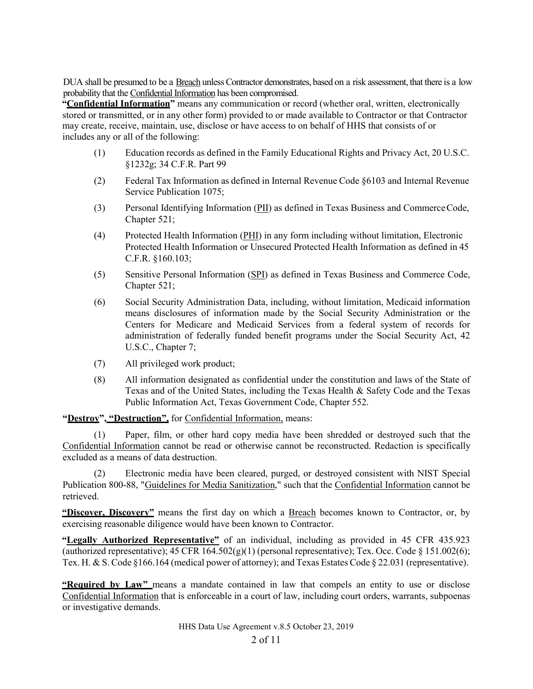DUA shall be presumed to be a Breach unless Contractor demonstrates, based on a risk assessment, that there is a low probability that the Confidential Information has been compromised.

**"Confidential Information"** means any communication or record (whether oral, written, electronically stored or transmitted, or in any other form) provided to or made available to Contractor or that Contractor may create, receive, maintain, use, disclose or have access to on behalf of HHS that consists of or includes any or all of the following:

- (1) Education records as defined in the Family Educational Rights and Privacy Act, 20 U.S.C. §1232g; 34 C.F.R. Part 99
- (2) Federal Tax Information as defined in Internal Revenue Code §6103 and Internal Revenue Service Publication 1075;
- (3) Personal Identifying Information (PII) as defined in Texas Business and CommerceCode, Chapter 521;
- (4) Protected Health Information (PHI) in any form including without limitation, Electronic Protected Health Information or Unsecured Protected Health Information as defined in 45 C.F.R. §160.103;
- (5) Sensitive Personal Information (SPI) as defined in Texas Business and Commerce Code, Chapter 521;
- (6) Social Security Administration Data, including, without limitation, Medicaid information means disclosures of information made by the Social Security Administration or the Centers for Medicare and Medicaid Services from a federal system of records for administration of federally funded benefit programs under the Social Security Act, 42 U.S.C., Chapter 7;
- (7) All privileged work product;
- (8) All information designated as confidential under the constitution and laws of the State of Texas and of the United States, including the Texas Health & Safety Code and the Texas Public Information Act, Texas Government Code, [Chapter](http://www.statutes.legis.state.tx.us/docs/GV/htm/GV.552.htm) 552.

**"Destroy", "Destruction",** for Confidential Information, means:

(1) Paper, film, or other hard copy media have been shredded or destroyed such that the Confidential Information cannot be read or otherwise cannot be reconstructed. Redaction is specifically excluded as a means of data destruction.

Electronic media have been cleared, purged, or destroyed consistent with NIST Special Publication 800-88, ["Guidelines for Media Sanitization,"](http://csrc.nist.gov/) such that the Confidential Information cannot be retrieved.

**"Discover, Discovery"** means the first day on which a Breach becomes known to Contractor, or, by exercising reasonable diligence would have been known to Contractor.

**"Legally Authorized Representative"** of an individual, including as provided in 45 CFR 435.923 (authorized representative);  $45 \text{ CFR } 164.502(g)(1)$  (personal representative); Tex. Occ. Code § 151.002(6); Tex. H. & S. Code §166.164 (medical power of attorney); and Texas Estates Code § 22.031 (representative).

**"Required by Law"** means a mandate contained in law that compels an entity to use or disclose Confidential Information that is enforceable in a court of law, including court orders, warrants, subpoenas or investigative demands.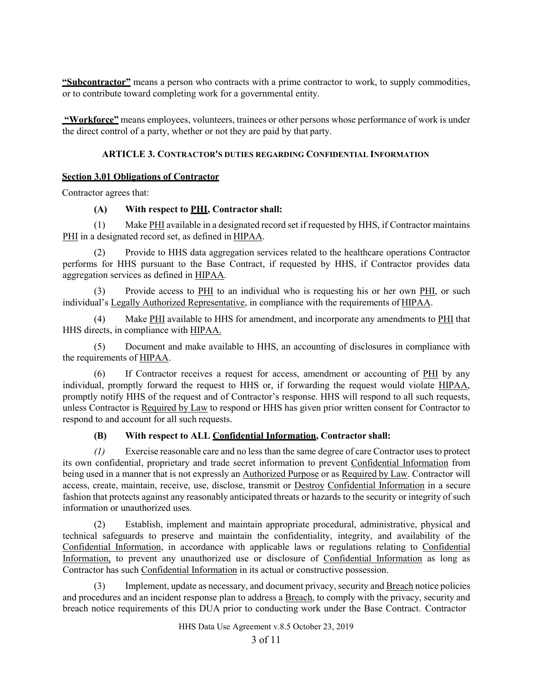**"Subcontractor"** means a person who contracts with a prime contractor to work, to supply commodities, or to contribute toward completing work for a governmental entity.

**"Workforce"** means employees, volunteers, trainees or other persons whose performance of work is under the direct control of a party, whether or not they are paid by that party.

## **ARTICLE 3. CONTRACTOR'S DUTIES REGARDING CONFIDENTIAL INFORMATION**

### **Section 3.01 Obligations of Contractor**

Contractor agrees that:

## **(A) With respect to PHI, Contractor shall:**

 $(1)$  Make  $PHI$  available in a designated record set if requested by HHS, if Contractor maintains PHI in a designated record set, as defined in HIPAA.

(2) Provide to HHS data aggregation services related to the healthcare operations Contractor performs for HHS pursuant to the Base Contract, if requested by HHS, if Contractor provides data aggregation services as defined in HIPAA.

(3) Provide access to PHI to an individual who is requesting his or her own PHI, or such individual's Legally Authorized Representative, in compliance with the requirements of HIPAA.

(4) Make  $\frac{\text{PHI}}{\text{H}}$  available to HHS for amendment, and incorporate any amendments to  $\frac{\text{PHI}}{\text{H}}$  that HHS directs, in compliance with HIPAA.

(5) Document and make available to HHS, an accounting of disclosures in compliance with the requirements of HIPAA.

(6) If Contractor receives a request for access, amendment or accounting of PHI by any individual, promptly forward the request to HHS or, if forwarding the request would violate HIPAA, promptly notify HHS of the request and of Contractor's response. HHS will respond to all such requests, unless Contractor is Required by Law to respond or HHS has given prior written consent for Contractor to respond to and account for all such requests.

## **(B) With respect to ALL Confidential Information, Contractor shall:**

*(1)* Exercise reasonable care and no less than the same degree of care Contractor usesto protect its own confidential, proprietary and trade secret information to prevent Confidential Information from being used in a manner that is not expressly an Authorized Purpose or as Required by Law. Contractor will access, create, maintain, receive, use, disclose, transmit or Destroy Confidential Information in a secure fashion that protects against any reasonably anticipated threats or hazards to the security or integrity of such information or unauthorized uses*.*

(2) Establish, implement and maintain appropriate procedural, administrative, physical and technical safeguards to preserve and maintain the confidentiality, integrity, and availability of the Confidential Information, in accordance with applicable laws or regulations relating to Confidential Information, to prevent any unauthorized use or disclosure of Confidential Information as long as Contractor has such Confidential Information in its actual or constructive possession.

(3) Implement, update as necessary, and document privacy, security and **Breach** notice policies and procedures and an incident response plan to address a Breach, to comply with the privacy, security and breach notice requirements of this DUA prior to conducting work under the Base Contract. Contractor

HHS Data Use Agreement v.8.5 October 23, 2019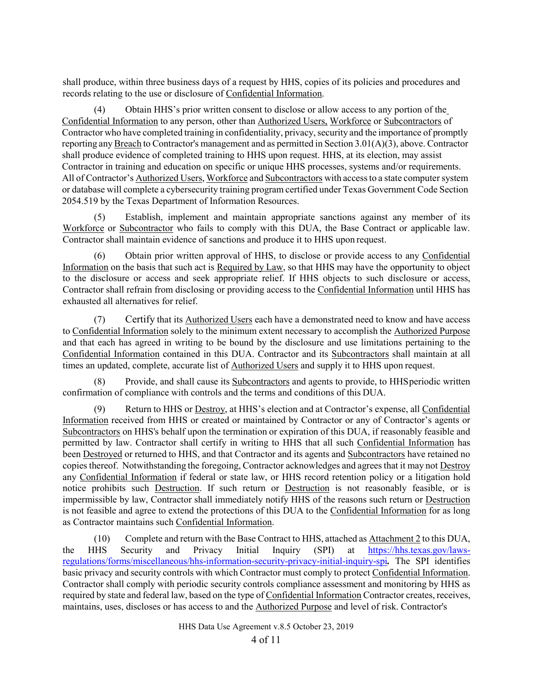shall produce, within three business days of a request by HHS, copies of its policies and procedures and records relating to the use or disclosure of Confidential Information.

(4) Obtain HHS's prior written consent to disclose or allow access to any portion of the Confidential Information to any person, other than Authorized Users, Workforce or Subcontractors of Contractor who have completed training in confidentiality, privacy, security and the importance of promptly reporting any Breach to Contractor's management and as permitted in Section 3.01(A)(3), above. Contractor shall produce evidence of completed training to HHS upon request. HHS, at its election, may assist Contractor in training and education on specific or unique HHS processes, systems and/or requirements. All of Contractor's Authorized Users, Workforce and Subcontractors with access to a state computer system or database will complete a cybersecurity training program certified under Texas Government Code Section 2054.519 by the Texas Department of Information Resources.

(5) Establish, implement and maintain appropriate sanctions against any member of its Workforce or Subcontractor who fails to comply with this DUA, the Base Contract or applicable law. Contractor shall maintain evidence of sanctions and produce it to HHS upon request.

(6) Obtain prior written approval of HHS, to disclose or provide access to any Confidential Information on the basis that such act is Required by Law, so that HHS may have the opportunity to object to the disclosure or access and seek appropriate relief. If HHS objects to such disclosure or access, Contractor shall refrain from disclosing or providing access to the Confidential Information until HHS has exhausted all alternatives for relief.

(7) Certify that its **Authorized Users** each have a demonstrated need to know and have access to Confidential Information solely to the minimum extent necessary to accomplish the Authorized Purpose and that each has agreed in writing to be bound by the disclosure and use limitations pertaining to the Confidential Information contained in this DUA. Contractor and its Subcontractors shall maintain at all times an updated, complete, accurate list of Authorized Users and supply it to HHS upon request.

Provide, and shall cause its Subcontractors and agents to provide, to HHS periodic written confirmation of compliance with controls and the terms and conditions of this DUA.

(9) Return to HHS or Destroy, at HHS's election and at Contractor's expense, all Confidential Information received from HHS or created or maintained by Contractor or any of Contractor's agents or Subcontractors on HHS's behalf upon the termination or expiration of this DUA, if reasonably feasible and permitted by law. Contractor shall certify in writing to HHS that all such Confidential Information has been Destroyed or returned to HHS, and that Contractor and its agents and Subcontractors have retained no copies thereof. Notwithstanding the foregoing, Contractor acknowledges and agrees that it may not Destroy any Confidential Information if federal or state law, or HHS record retention policy or a litigation hold notice prohibits such Destruction. If such return or Destruction is not reasonably feasible, or is impermissible by law, Contractor shall immediately notify HHS of the reasons such return or Destruction is not feasible and agree to extend the protections of this DUA to the Confidential Information for as long as Contractor maintains such Confidential Information.

(10) Complete and return with the Base Contract to HHS, attached as Attachment 2 to this DUA, the HHS Security and Privacy Initial Inquiry (SPI) at [https://hhs.texas.gov/laws](https://hhs.texas.gov/laws-regulations/forms/miscellaneous/hhs-information-security-privacy-initial-inquiry-spi)[regulations/forms/miscellaneous/hhs-information-security-privacy-initial-inquiry-spi](https://hhs.texas.gov/laws-regulations/forms/miscellaneous/hhs-information-security-privacy-initial-inquiry-spi)*.* The SPI identifies basic privacy and security controls with which Contractor must comply to protect Confidential Information. Contractor shall comply with periodic security controls compliance assessment and monitoring by HHS as required by state and federal law, based on the type of Confidential Information Contractor creates, receives, maintains, uses, discloses or has access to and the Authorized Purpose and level of risk. Contractor's

HHS Data Use Agreement v.8.5 October 23, 2019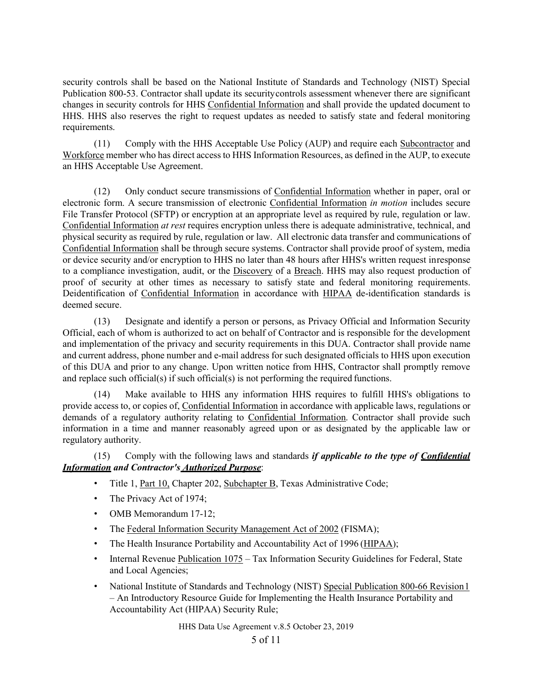security controls shall be based on the National Institute of Standards and Technology (NIST) Special Publication 800-53. Contractor shall update its securitycontrols assessment whenever there are significant changes in security controls for HHS Confidential Information and shall provide the updated document to HHS. HHS also reserves the right to request updates as needed to satisfy state and federal monitoring requirements.

(11) Comply with the HHS Acceptable Use Policy (AUP) and require each Subcontractor and Workforce member who has direct access to HHS Information Resources, as defined in the AUP, to execute an HHS Acceptable Use Agreement.

(12) Only conduct secure transmissions of Confidential Information whether in paper, oral or electronic form. A secure transmission of electronic Confidential Information *in motion* includes secure File Transfer Protocol (SFTP) or encryption at an appropriate level as required by rule, regulation or law. Confidential Information *at rest* requires encryption unless there is adequate administrative, technical, and physical security as required by rule, regulation or law. All electronic data transfer and communications of Confidential Information shall be through secure systems. Contractor shall provide proof of system, media or device security and/or encryption to HHS no later than 48 hours after HHS's written request inresponse to a compliance investigation, audit, or the Discovery of a Breach. HHS may also request production of proof of security at other times as necessary to satisfy state and federal monitoring requirements. Deidentification of Confidential Information in accordance with HIPAA de-identification standards is deemed secure.

(13) Designate and identify a person or persons, as Privacy Official and Information Security Official, each of whom is authorized to act on behalf of Contractor and is responsible for the development and implementation of the privacy and security requirements in this DUA. Contractor shall provide name and current address, phone number and e-mail address for such designated officials to HHS upon execution of this DUA and prior to any change. Upon written notice from HHS, Contractor shall promptly remove and replace such official(s) if such official(s) is not performing the required functions.

(14) Make available to HHS any information HHS requires to fulfill HHS's obligations to provide access to, or copies of, Confidential Information in accordance with applicable laws, regulations or demands of a regulatory authority relating to Confidential Information. Contractor shall provide such information in a time and manner reasonably agreed upon or as designated by the applicable law or regulatory authority.

(15) Comply with the following laws and standards *if applicable to the type of Confidential Information and Contractor's Authorized Purpose*:

- Title 1, Part 10, Chapter 202, [Subchapter B, T](http://info.sos.state.tx.us/pls/pub/readtac%24ext.ViewTAC?tac_view=5&ti=1&pt=10&ch=202&sch=B&rl=Y)exas Administrative Code;
- The Privacy Act of 1974;
- OMB Memorandum 17-12;
- The [Federal Information Security Management Act of 2002](http://www.gpo.gov/fdsys/pkg/USCODE-2009-title44/html/USCODE-2009-title44-chap35-subchapIII.htm) (FISMA);
- The Health Insurance Portability and Accountability Act of 1996 (HIPAA);
- Internal Revenue [Publication 1075](http://www.irs.gov/pub/irs-pdf/p1075.pdf) Tax Information Security Guidelines for Federal, State and Local Agencies;
- National Institute of Standards and Technology (NIST) Special Publication 800-66 Revision 1 – An Introductory Resource Guide for Implementing the Health Insurance Portability and Accountability Act (HIPAA) Security Rule;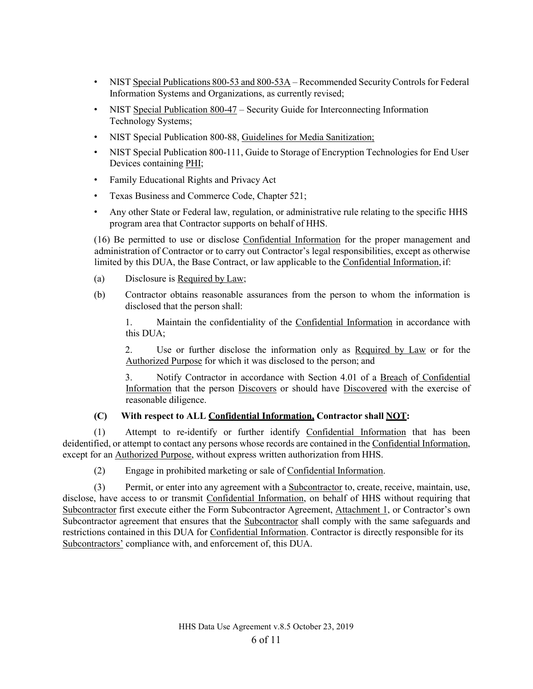- NIST Special [Publications](http://csrc.nist.gov/publications/nistpubs/800-53-Rev3/sp800-53-rev3-final_updated-errata_05-01-2010.pdf) 800-53 and 800-53A Recommended Security Controls for Federal Information Systems and Organizations, as currently revised;
- NIST [Special Publication 800-47](http://csrc.nist.gov/publications/nistpubs/800-53-Rev3/sp800-53-rev3-final_updated-errata_05-01-2010.pdf) Security Guide for Interconnecting Information Technology Systems;
- NIST Special Publication 800-88, [Guidelines for Media](http://csrc.nist.gov/) Sanitizatio[n;](http://csrc.nist.gov/)
- NIST Special Publication 800-111, Guide to Storage of Encryption Technologies for End User Devices containing PHI;
- Family Educational Rights and Privacy Act
- Texas Business and Commerce Code, Chapter 521;
- Any other State or Federal law, regulation, or administrative rule relating to the specific HHS program area that Contractor supports on behalf of HHS.

(16) Be permitted to use or disclose Confidential Information for the proper management and administration of Contractor or to carry out Contractor's legal responsibilities, except as otherwise limited by this DUA, the Base Contract, or law applicable to the Confidential Information,if:

- (a) Disclosure is Required by Law;
- (b) Contractor obtains reasonable assurances from the person to whom the information is disclosed that the person shall:

1. Maintain the confidentiality of the Confidential Information in accordance with this DUA;

2. Use or further disclose the information only as Required by Law or for the Authorized Purpose for which it was disclosed to the person; and

3. Notify Contractor in accordance with Section 4.01 of a Breach of Confidential Information that the person Discovers or should have Discovered with the exercise of reasonable diligence.

## **(C) With respect to ALL Confidential Information, Contractor shall NOT:**

(1) Attempt to re-identify or further identify Confidential Information that has been deidentified, or attempt to contact any persons whose records are contained in the Confidential Information, except for an Authorized Purpose, without express written authorization from HHS.

(2) Engage in prohibited marketing or sale of Confidential Information.

(3) Permit, or enter into any agreement with a Subcontractor to, create, receive, maintain, use, disclose, have access to or transmit Confidential Information, on behalf of HHS without requiring that Subcontractor first execute either the Form Subcontractor Agreement, Attachment 1, or Contractor's own Subcontractor agreement that ensures that the Subcontractor shall comply with the same safeguards and restrictions contained in this DUA for Confidential Information. Contractor is directly responsible for its Subcontractors' compliance with, and enforcement of, this DUA.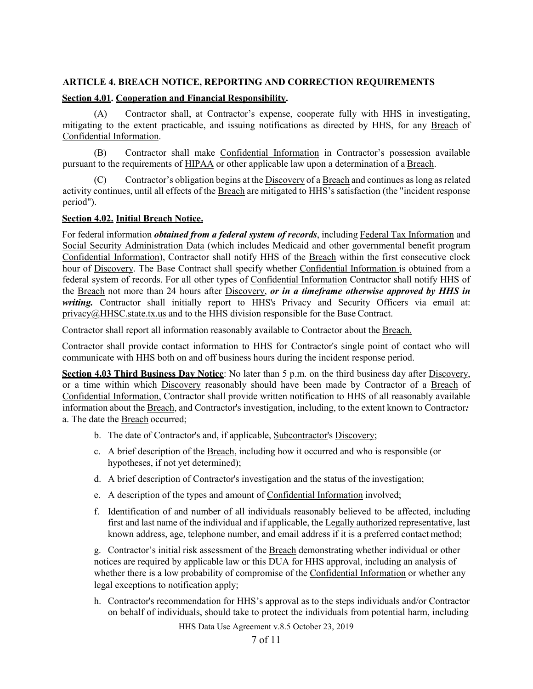### **ARTICLE 4. BREACH NOTICE, REPORTING AND CORRECTION REQUIREMENTS**

## **Section 4.01. Cooperation and Financial Responsibility.**

(A) Contractor shall, at Contractor's expense, cooperate fully with HHS in investigating, mitigating to the extent practicable, and issuing notifications as directed by HHS, for any Breach of Confidential Information.

(B) Contractor shall make Confidential Information in Contractor's possession available pursuant to the requirements of HIPAA or other applicable law upon a determination of a Breach.

Contractor's obligation begins at the Discovery of a Breach and continues as long as related activity continues, until all effects of the Breach are mitigated to HHS's satisfaction (the "incident response period").

#### **Section 4.02. Initial Breach Notice.**

For federal information *obtained from a federal system of records*, including Federal Tax Information and Social Security Administration Data (which includes Medicaid and other governmental benefit program Confidential Information), Contractor shall notify HHS of the Breach within the first consecutive clock hour of Discovery. The Base Contract shall specify whether Confidential Information is obtained from a federal system of records. For all other types of Confidential Information Contractor shall notify HHS of the Breach not more than 24 hours after Discovery, *or in a timeframe otherwise approved by HHS in*  writing. Contractor shall initially report to HHS's Privacy and Security Officers via email at:  $privacy@HHSC. state.txt.$ us and to the HHS division responsible for the Base Contract.

Contractor shall report all information reasonably available to Contractor about the Breach.

Contractor shall provide contact information to HHS for Contractor's single point of contact who will communicate with HHS both on and off business hours during the incident response period.

**Section 4.03 Third Business Day Notice**: No later than 5 p.m. on the third business day after Discovery, or a time within which Discovery reasonably should have been made by Contractor of a Breach of Confidential Information, Contractor shall provide written notification to HHS of all reasonably available information about the Breach, and Contractor's investigation, including, to the extent known to Contractor*:* a. The date the Breach occurred;

- b. The date of Contractor's and, if applicable, Subcontractor's Discovery;
- c. A brief description of the Breach, including how it occurred and who is responsible (or hypotheses, if not yet determined);
- d. A brief description of Contractor's investigation and the status of the investigation;
- e. A description of the types and amount of Confidential Information involved;
- f. Identification of and number of all individuals reasonably believed to be affected, including first and last name of the individual and if applicable, the Legally authorized representative, last known address, age, telephone number, and email address if it is a preferred contact method;

g. Contractor's initial risk assessment of the Breach demonstrating whether individual or other notices are required by applicable law or this DUA for HHS approval, including an analysis of whether there is a low probability of compromise of the Confidential Information or whether any legal exceptions to notification apply;

h. Contractor's recommendation for HHS's approval as to the steps individuals and/or Contractor on behalf of individuals, should take to protect the individuals from potential harm, including

HHS Data Use Agreement v.8.5 October 23, 2019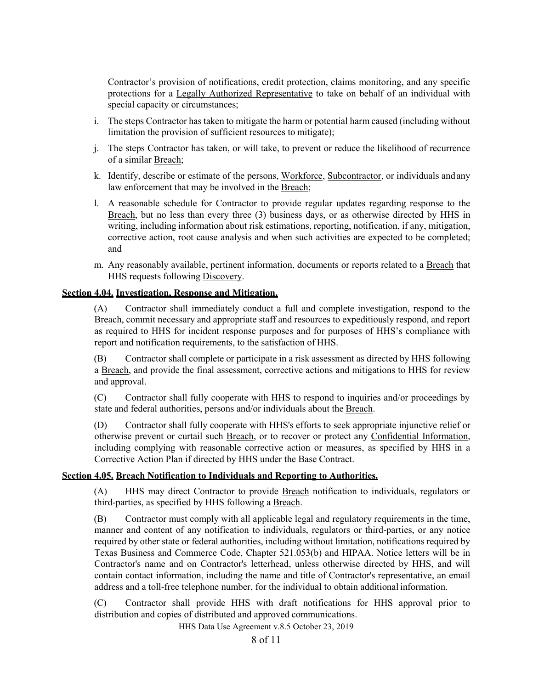Contractor's provision of notifications, credit protection, claims monitoring, and any specific protections for a Legally Authorized Representative to take on behalf of an individual with special capacity or circumstances;

- i. The steps Contractor has taken to mitigate the harm or potential harm caused (including without limitation the provision of sufficient resources to mitigate);
- j. The steps Contractor has taken, or will take, to prevent or reduce the likelihood of recurrence of a similar Breach;
- k. Identify, describe or estimate of the persons, Workforce, Subcontractor, or individuals andany law enforcement that may be involved in the Breach;
- l. A reasonable schedule for Contractor to provide regular updates regarding response to the Breach, but no less than every three (3) business days, or as otherwise directed by HHS in writing, including information about risk estimations, reporting, notification, if any, mitigation, corrective action, root cause analysis and when such activities are expected to be completed; and
- m. Any reasonably available, pertinent information, documents or reports related to a Breach that HHS requests following Discovery.

## **Section 4.04. Investigation, Response and Mitigation.**

(A) Contractor shall immediately conduct a full and complete investigation, respond to the Breach, commit necessary and appropriate staff and resources to expeditiously respond, and report as required to HHS for incident response purposes and for purposes of HHS's compliance with report and notification requirements, to the satisfaction of HHS.

(B) Contractor shall complete or participate in a risk assessment as directed by HHS following a Breach, and provide the final assessment, corrective actions and mitigations to HHS for review and approval.

(C) Contractor shall fully cooperate with HHS to respond to inquiries and/or proceedings by state and federal authorities, persons and/or individuals about the Breach.

(D) Contractor shall fully cooperate with HHS's efforts to seek appropriate injunctive relief or otherwise prevent or curtail such Breach, or to recover or protect any Confidential Information, including complying with reasonable corrective action or measures, as specified by HHS in a Corrective Action Plan if directed by HHS under the Base Contract.

#### **Section 4.05. Breach Notification to Individuals and Reporting to Authorities.**

(A) HHS may direct Contractor to provide Breach notification to individuals, regulators or third-parties, as specified by HHS following a Breach.

(B) Contractor must comply with all applicable legal and regulatory requirements in the time, manner and content of any notification to individuals, regulators or third-parties, or any notice required by other state or federal authorities, including without limitation, notifications required by Texas Business and Commerce Code, Chapter 521.053(b) and HIPAA. Notice letters will be in Contractor's name and on Contractor's letterhead, unless otherwise directed by HHS, and will contain contact information, including the name and title of Contractor's representative, an email address and a toll-free telephone number, for the individual to obtain additional information.

(C) Contractor shall provide HHS with draft notifications for HHS approval prior to distribution and copies of distributed and approved communications.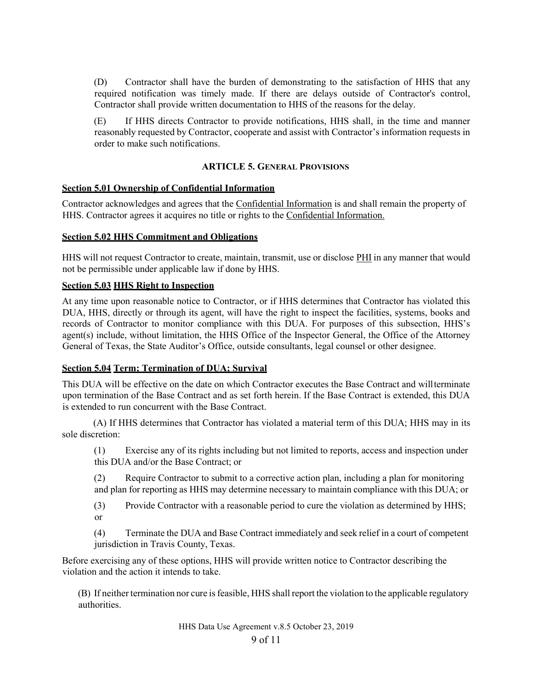(D) Contractor shall have the burden of demonstrating to the satisfaction of HHS that any required notification was timely made. If there are delays outside of Contractor's control, Contractor shall provide written documentation to HHS of the reasons for the delay.

(E) If HHS directs Contractor to provide notifications, HHS shall, in the time and manner reasonably requested by Contractor, cooperate and assist with Contractor's information requests in order to make such notifications.

#### **ARTICLE 5. GENERAL PROVISIONS**

#### **Section 5.01 Ownership of Confidential Information**

Contractor acknowledges and agrees that the Confidential Information is and shall remain the property of HHS. Contractor agrees it acquires no title or rights to the Confidential Information.

#### **Section 5.02 HHS Commitment and Obligations**

HHS will not request Contractor to create, maintain, transmit, use or disclose PHI in any manner that would not be permissible under applicable law if done by HHS.

#### **Section 5.03 HHS Right to Inspection**

At any time upon reasonable notice to Contractor, or if HHS determines that Contractor has violated this DUA, HHS, directly or through its agent, will have the right to inspect the facilities, systems, books and records of Contractor to monitor compliance with this DUA. For purposes of this subsection, HHS's agent(s) include, without limitation, the HHS Office of the Inspector General, the Office of the Attorney General of Texas, the State Auditor's Office, outside consultants, legal counsel or other designee.

#### **Section 5.04 Term; Termination of DUA; Survival**

This DUA will be effective on the date on which Contractor executes the Base Contract and willterminate upon termination of the Base Contract and as set forth herein. If the Base Contract is extended, this DUA is extended to run concurrent with the Base Contract.

(A) If HHS determines that Contractor has violated a material term of this DUA; HHS may in its sole discretion:

(1) Exercise any of its rights including but not limited to reports, access and inspection under this DUA and/or the Base Contract; or

(2) Require Contractor to submit to a corrective action plan, including a plan for monitoring and plan for reporting as HHS may determine necessary to maintain compliance with this DUA; or

(3) Provide Contractor with a reasonable period to cure the violation as determined by HHS; or

(4) Terminate the DUA and Base Contract immediately and seek relief in a court of competent jurisdiction in Travis County, Texas.

Before exercising any of these options, HHS will provide written notice to Contractor describing the violation and the action it intends to take.

(B) If neither termination nor cure isfeasible, HHS shall report the violation to the applicable regulatory authorities.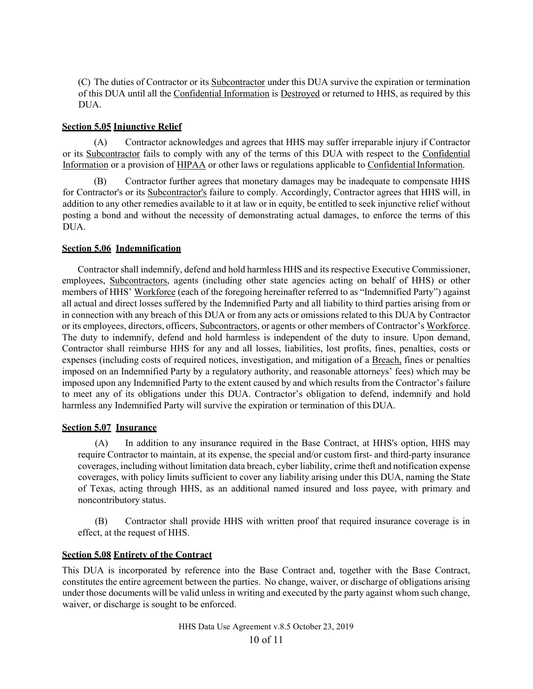(C) The duties of Contractor or its Subcontractor under this DUA survive the expiration or termination of this DUA until all the Confidential Information is Destroyed or returned to HHS, as required by this DUA.

## **Section 5.05 Injunctive Relief**

(A) Contractor acknowledges and agrees that HHS may suffer irreparable injury if Contractor or its Subcontractor fails to comply with any of the terms of this DUA with respect to the Confidential Information or a provision of HIPAA or other laws or regulations applicable to Confidential Information.

(B) Contractor further agrees that monetary damages may be inadequate to compensate HHS for Contractor's or its Subcontractor's failure to comply. Accordingly, Contractor agrees that HHS will, in addition to any other remedies available to it at law or in equity, be entitled to seek injunctive relief without posting a bond and without the necessity of demonstrating actual damages, to enforce the terms of this DUA.

## **Section 5.06 Indemnification**

Contractor shall indemnify, defend and hold harmless HHS and its respective Executive Commissioner, employees, Subcontractors, agents (including other state agencies acting on behalf of HHS) or other members of HHS' Workforce (each of the foregoing hereinafter referred to as "Indemnified Party") against all actual and direct losses suffered by the Indemnified Party and all liability to third parties arising from or in connection with any breach of this DUA or from any acts or omissions related to this DUA by Contractor or its employees, directors, officers, Subcontractors, or agents or other members of Contractor's Workforce. The duty to indemnify, defend and hold harmless is independent of the duty to insure. Upon demand, Contractor shall reimburse HHS for any and all losses, liabilities, lost profits, fines, penalties, costs or expenses (including costs of required notices, investigation, and mitigation of a Breach, fines or penalties imposed on an Indemnified Party by a regulatory authority, and reasonable attorneys' fees) which may be imposed upon any Indemnified Party to the extent caused by and which results from the Contractor's failure to meet any of its obligations under this DUA. Contractor's obligation to defend, indemnify and hold harmless any Indemnified Party will survive the expiration or termination of this DUA.

#### **Section 5.07 Insurance**

(A) In addition to any insurance required in the Base Contract, at HHS's option, HHS may require Contractor to maintain, at its expense, the special and/or custom first- and third-party insurance coverages, including without limitation data breach, cyber liability, crime theft and notification expense coverages, with policy limits sufficient to cover any liability arising under this DUA, naming the State of Texas, acting through HHS, as an additional named insured and loss payee, with primary and noncontributory status.

(B) Contractor shall provide HHS with written proof that required insurance coverage is in effect, at the request of HHS.

## **Section 5.08 Entirety of the Contract**

This DUA is incorporated by reference into the Base Contract and, together with the Base Contract, constitutes the entire agreement between the parties. No change, waiver, or discharge of obligations arising under those documents will be valid unless in writing and executed by the party against whom such change, waiver, or discharge is sought to be enforced.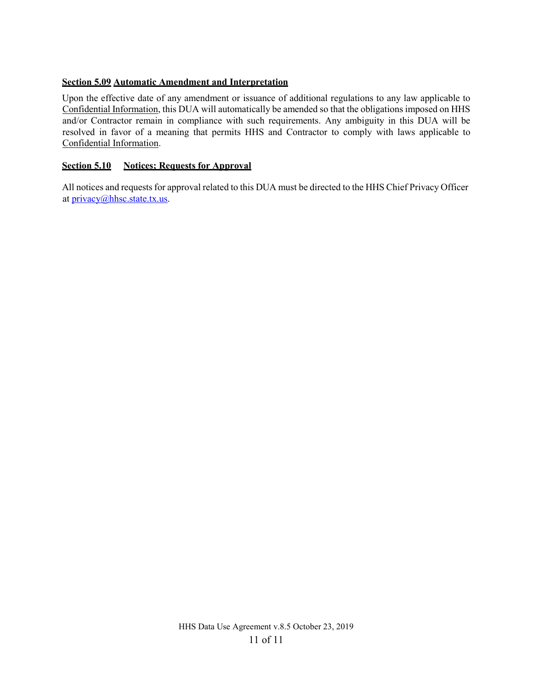## **Section 5.09 Automatic Amendment and Interpretation**

Upon the effective date of any amendment or issuance of additional regulations to any law applicable to Confidential Information, this DUA will automatically be amended so that the obligations imposed on HHS and/or Contractor remain in compliance with such requirements. Any ambiguity in this DUA will be resolved in favor of a meaning that permits HHS and Contractor to comply with laws applicable to Confidential Information.

## **Section 5.10 Notices; Requests for Approval**

All notices and requests for approval related to this DUA must be directed to the HHS Chief Privacy Officer at [privacy@hhsc.state.tx.us.](mailto:privacy@hhsc.state.tx.us)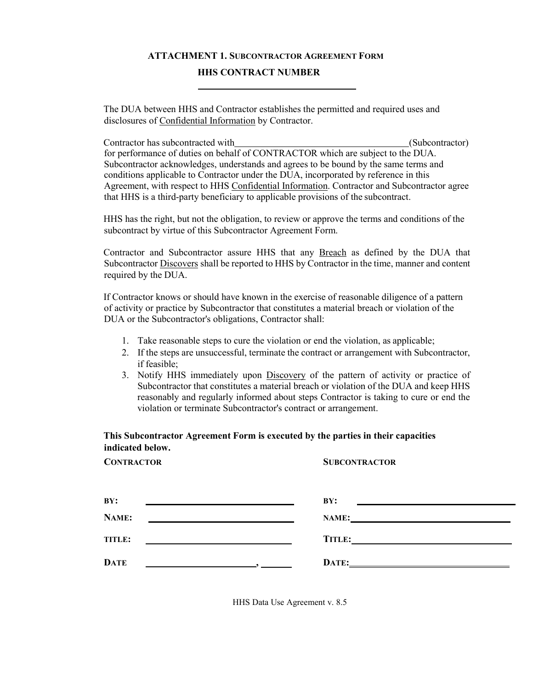# **ATTACHMENT 1. SUBCONTRACTOR AGREEMENT FORM HHS CONTRACT NUMBER**

The DUA between HHS and Contractor establishes the permitted and required uses and disclosures of Confidential Information by Contractor.

Contractor has subcontracted with (Subcontractor) for performance of duties on behalf of CONTRACTOR which are subject to the DUA. Subcontractor acknowledges, understands and agrees to be bound by the same terms and conditions applicable to Contractor under the DUA, incorporated by reference in this Agreement, with respect to HHS Confidential Information. Contractor and Subcontractor agree that HHS is a third-party beneficiary to applicable provisions of the subcontract.

HHS has the right, but not the obligation, to review or approve the terms and conditions of the subcontract by virtue of this Subcontractor Agreement Form.

Contractor and Subcontractor assure HHS that any Breach as defined by the DUA that Subcontractor Discovers shall be reported to HHS by Contractor in the time, manner and content required by the DUA.

If Contractor knows or should have known in the exercise of reasonable diligence of a pattern of activity or practice by Subcontractor that constitutes a material breach or violation of the DUA or the Subcontractor's obligations, Contractor shall:

- 1. Take reasonable steps to cure the violation or end the violation, as applicable;
- 2. If the steps are unsuccessful, terminate the contract or arrangement with Subcontractor, if feasible;
- 3. Notify HHS immediately upon Discovery of the pattern of activity or practice of Subcontractor that constitutes a material breach or violation of the DUA and keep HHS reasonably and regularly informed about steps Contractor is taking to cure or end the violation or terminate Subcontractor's contract or arrangement.

# **This Subcontractor Agreement Form is executed by the parties in their capacities indicated below.**

| <b>CONTRACTOR</b>                                                                                                                                                                                                                            | <b>SUBCONTRACTOR</b> |
|----------------------------------------------------------------------------------------------------------------------------------------------------------------------------------------------------------------------------------------------|----------------------|
| BY:                                                                                                                                                                                                                                          | BY:                  |
|                                                                                                                                                                                                                                              |                      |
| NAME:                                                                                                                                                                                                                                        | NAME:                |
|                                                                                                                                                                                                                                              |                      |
| TITLE:                                                                                                                                                                                                                                       | <b>TITLE:</b>        |
|                                                                                                                                                                                                                                              |                      |
| DATE<br><u>and the company of the company of the company of the company of the company of the company of the company of the company of the company of the company of the company of the company of the company of the company of the com</u> | DATE:                |

HHS Data Use Agreement v. 8.5